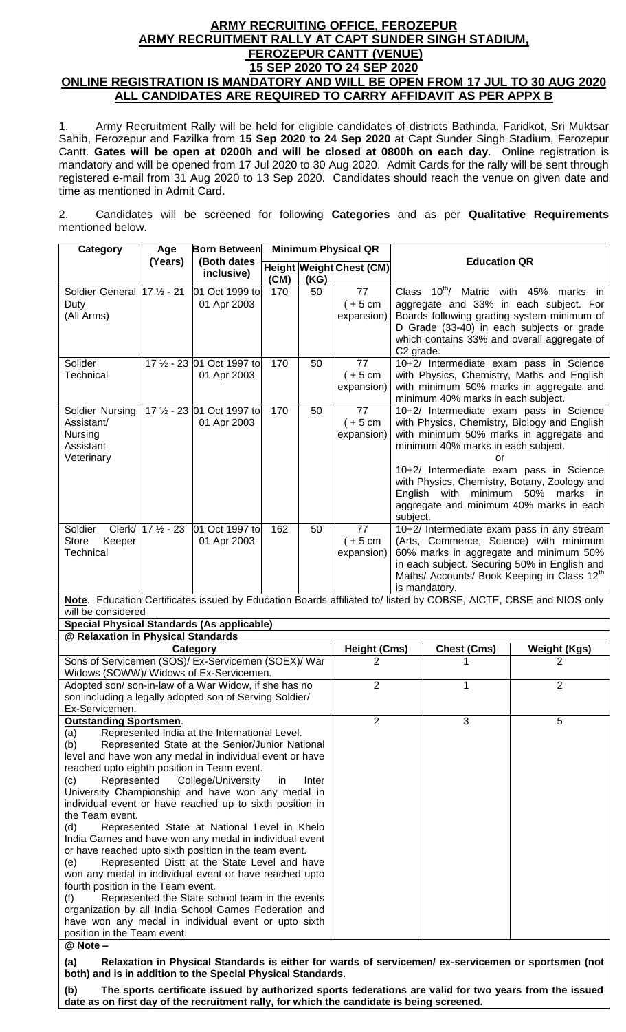## **ARMY RECRUITING OFFICE, FEROZEPUR ARMY RECRUITMENT RALLY AT CAPT SUNDER SINGH STADIUM, FEROZEPUR CANTT (VENUE) 15 SEP 2020 TO 24 SEP 2020 ONLINE REGISTRATION IS MANDATORY AND WILL BE OPEN FROM 17 JUL TO 30 AUG 2020 ALL CANDIDATES ARE REQUIRED TO CARRY AFFIDAVIT AS PER APPX B**

1. Army Recruitment Rally will be held for eligible candidates of districts Bathinda, Faridkot, Sri Muktsar Sahib, Ferozepur and Fazilka from **15 Sep 2020 to 24 Sep 2020** at Capt Sunder Singh Stadium, Ferozepur Cantt. **Gates will be open at 0200h and will be closed at 0800h on each day**. Online registration is mandatory and will be opened from 17 Jul 2020 to 30 Aug 2020. Admit Cards for the rally will be sent through registered e-mail from 31 Aug 2020 to 13 Sep 2020. Candidates should reach the venue on given date and time as mentioned in Admit Card.

2. Candidates will be screened for following **Categories** and as per **Qualitative Requirements** mentioned below.

| Category                                                                                                                                                                                                                                                                                                                                                                                                                                                                                                                                                                                                                                                                                                                                                                                                                                                                                                                                                                                                                          | Age                                                                                                 | <b>Born Between</b>                       | <b>Minimum Physical QR</b> |                                       |                                                |                                                                                                                                                                                                                                                                                                                                                                       |  |  |
|-----------------------------------------------------------------------------------------------------------------------------------------------------------------------------------------------------------------------------------------------------------------------------------------------------------------------------------------------------------------------------------------------------------------------------------------------------------------------------------------------------------------------------------------------------------------------------------------------------------------------------------------------------------------------------------------------------------------------------------------------------------------------------------------------------------------------------------------------------------------------------------------------------------------------------------------------------------------------------------------------------------------------------------|-----------------------------------------------------------------------------------------------------|-------------------------------------------|----------------------------|---------------------------------------|------------------------------------------------|-----------------------------------------------------------------------------------------------------------------------------------------------------------------------------------------------------------------------------------------------------------------------------------------------------------------------------------------------------------------------|--|--|
|                                                                                                                                                                                                                                                                                                                                                                                                                                                                                                                                                                                                                                                                                                                                                                                                                                                                                                                                                                                                                                   | (Years)                                                                                             | (Both dates<br>inclusive)                 | (CM)                       | (KG)                                  | <b>Height Weight Chest (CM)</b>                | <b>Education QR</b>                                                                                                                                                                                                                                                                                                                                                   |  |  |
| Soldier General 17 1/2 - 21<br>Duty<br>(All Arms)                                                                                                                                                                                                                                                                                                                                                                                                                                                                                                                                                                                                                                                                                                                                                                                                                                                                                                                                                                                 |                                                                                                     | 01 Oct 1999 to<br>01 Apr 2003             | 170                        | 50                                    | 77<br>$(+ 5 cm)$<br>expansion)                 | Class 10 <sup>th</sup> / Matric with 45% marks in<br>aggregate and 33% in each subject. For<br>Boards following grading system minimum of<br>D Grade (33-40) in each subjects or grade<br>which contains 33% and overall aggregate of<br>C2 grade.                                                                                                                    |  |  |
| Solider<br>Technical                                                                                                                                                                                                                                                                                                                                                                                                                                                                                                                                                                                                                                                                                                                                                                                                                                                                                                                                                                                                              |                                                                                                     | 17 1/2 - 23 01 Oct 1997 to<br>01 Apr 2003 | 170                        | 50                                    | 77<br>$(+5 cm)$<br>expansion)                  | 10+2/ Intermediate exam pass in Science<br>with Physics, Chemistry, Maths and English<br>with minimum 50% marks in aggregate and<br>minimum 40% marks in each subject.                                                                                                                                                                                                |  |  |
| Soldier Nursing<br>Assistant/<br>Nursing<br>Assistant<br>Veterinary                                                                                                                                                                                                                                                                                                                                                                                                                                                                                                                                                                                                                                                                                                                                                                                                                                                                                                                                                               |                                                                                                     | 17 1/2 - 23 01 Oct 1997 to<br>01 Apr 2003 | 170                        | 50                                    | $\overline{77}$<br>$(+ 5 cm)$<br>expansion)    | 10+2/ Intermediate exam pass in Science<br>with Physics, Chemistry, Biology and English<br>with minimum 50% marks in aggregate and<br>minimum 40% marks in each subject.<br>or<br>10+2/ Intermediate exam pass in Science<br>with Physics, Chemistry, Botany, Zoology and<br>English with minimum 50% marks in<br>aggregate and minimum 40% marks in each<br>subject. |  |  |
| Soldier<br>Store<br>Keeper<br>Technical                                                                                                                                                                                                                                                                                                                                                                                                                                                                                                                                                                                                                                                                                                                                                                                                                                                                                                                                                                                           | Clerk/ 17 1/2 - 23                                                                                  | 01 Oct 1997 to<br>01 Apr 2003             | 162                        | 50                                    | 77<br>$(+ 5 cm)$<br>expansion)                 | 10+2/ Intermediate exam pass in any stream<br>(Arts, Commerce, Science) with minimum<br>60% marks in aggregate and minimum 50%<br>in each subject. Securing 50% in English and<br>Maths/ Accounts/ Book Keeping in Class 12 <sup>th</sup><br>is mandatory.                                                                                                            |  |  |
|                                                                                                                                                                                                                                                                                                                                                                                                                                                                                                                                                                                                                                                                                                                                                                                                                                                                                                                                                                                                                                   |                                                                                                     |                                           |                            |                                       |                                                | Note. Education Certificates issued by Education Boards affiliated to/ listed by COBSE, AICTE, CBSE and NIOS only                                                                                                                                                                                                                                                     |  |  |
| will be considered<br><b>Special Physical Standards (As applicable)</b>                                                                                                                                                                                                                                                                                                                                                                                                                                                                                                                                                                                                                                                                                                                                                                                                                                                                                                                                                           |                                                                                                     |                                           |                            |                                       |                                                |                                                                                                                                                                                                                                                                                                                                                                       |  |  |
| @ Relaxation in Physical Standards                                                                                                                                                                                                                                                                                                                                                                                                                                                                                                                                                                                                                                                                                                                                                                                                                                                                                                                                                                                                |                                                                                                     |                                           |                            |                                       |                                                |                                                                                                                                                                                                                                                                                                                                                                       |  |  |
| Category<br>Sons of Servicemen (SOS)/ Ex-Servicemen (SOEX)/ War                                                                                                                                                                                                                                                                                                                                                                                                                                                                                                                                                                                                                                                                                                                                                                                                                                                                                                                                                                   |                                                                                                     |                                           |                            | <b>Height (Cms)</b><br>$\overline{2}$ | <b>Chest (Cms)</b><br><b>Weight (Kgs)</b><br>2 |                                                                                                                                                                                                                                                                                                                                                                       |  |  |
| Widows (SOWW)/ Widows of Ex-Servicemen.                                                                                                                                                                                                                                                                                                                                                                                                                                                                                                                                                                                                                                                                                                                                                                                                                                                                                                                                                                                           |                                                                                                     |                                           |                            |                                       |                                                |                                                                                                                                                                                                                                                                                                                                                                       |  |  |
| Adopted son/son-in-law of a War Widow, if she has no<br>son including a legally adopted son of Serving Soldier/<br>Ex-Servicemen.                                                                                                                                                                                                                                                                                                                                                                                                                                                                                                                                                                                                                                                                                                                                                                                                                                                                                                 |                                                                                                     |                                           |                            |                                       | $\overline{2}$                                 | $\overline{2}$<br>1                                                                                                                                                                                                                                                                                                                                                   |  |  |
| 3<br><b>Outstanding Sportsmen.</b><br>2<br>5<br>Represented India at the International Level.<br>(a)<br>(b)<br>Represented State at the Senior/Junior National<br>level and have won any medal in individual event or have<br>reached upto eighth position in Team event.<br>(c)<br>Represented<br>College/University<br>Inter<br>in<br>University Championship and have won any medal in<br>individual event or have reached up to sixth position in<br>the Team event.<br>(d)<br>Represented State at National Level in Khelo<br>India Games and have won any medal in individual event<br>or have reached upto sixth position in the team event.<br>Represented Distt at the State Level and have<br>(e)<br>won any medal in individual event or have reached upto<br>fourth position in the Team event.<br>Represented the State school team in the events<br>(f)<br>organization by all India School Games Federation and<br>have won any medal in individual event or upto sixth<br>position in the Team event.<br>@ Note - |                                                                                                     |                                           |                            |                                       |                                                |                                                                                                                                                                                                                                                                                                                                                                       |  |  |
| (a)                                                                                                                                                                                                                                                                                                                                                                                                                                                                                                                                                                                                                                                                                                                                                                                                                                                                                                                                                                                                                               | Relaxation in Physical Standards is either for wards of servicemen/ ex-servicemen or sportsmen (not |                                           |                            |                                       |                                                |                                                                                                                                                                                                                                                                                                                                                                       |  |  |

**both) and is in addition to the Special Physical Standards. (b) The sports certificate issued by authorized sports federations are valid for two years from the issued date as on first day of the recruitment rally, for which the candidate is being screened.**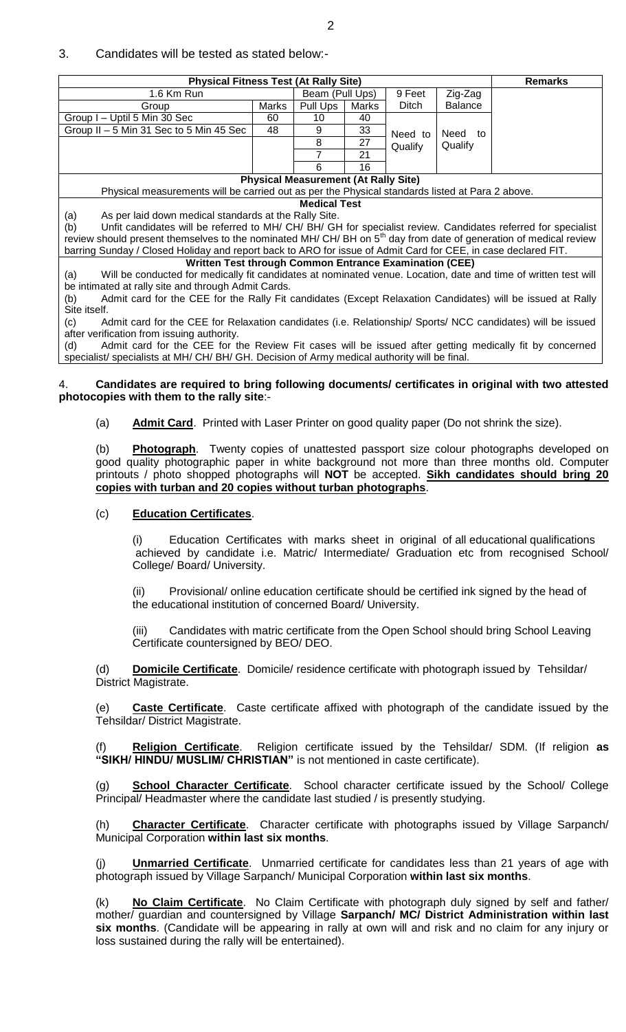### 3. Candidates will be tested as stated below:-

| <b>Physical Fitness Test (At Rally Site)</b>                                                                                  |    |                                             |       |         |                | <b>Remarks</b> |
|-------------------------------------------------------------------------------------------------------------------------------|----|---------------------------------------------|-------|---------|----------------|----------------|
| 1.6 Km Run                                                                                                                    |    | Beam (Pull Ups)                             |       | 9 Feet  | Zig-Zag        |                |
| Marks<br>Group                                                                                                                |    | Pull Ups                                    | Marks | Ditch   | <b>Balance</b> |                |
| Group I - Uptil 5 Min 30 Sec                                                                                                  | 60 | 10                                          | 40    |         |                |                |
| Group II - 5 Min 31 Sec to 5 Min 45 Sec                                                                                       |    | 9                                           | 33    | Need to | Need<br>to     |                |
|                                                                                                                               |    | 8                                           | 27    | Qualify | Qualify        |                |
|                                                                                                                               |    |                                             | 21    |         |                |                |
|                                                                                                                               |    | 6                                           | 16    |         |                |                |
|                                                                                                                               |    | <b>Physical Measurement (At Rally Site)</b> |       |         |                |                |
| Physical measurements will be carried out as per the Physical standards listed at Para 2 above.                               |    |                                             |       |         |                |                |
| <b>Medical Test</b>                                                                                                           |    |                                             |       |         |                |                |
| As per laid down medical standards at the Rally Site.<br>(a)                                                                  |    |                                             |       |         |                |                |
| Unfit candidates will be referred to MH/ CH/ BH/ GH for specialist review. Candidates referred for specialist<br>(b)          |    |                                             |       |         |                |                |
| review should present themselves to the nominated MH/ CH/ BH on 5 <sup>th</sup> day from date of generation of medical review |    |                                             |       |         |                |                |
| barring Sunday / Closed Holiday and report back to ARO for issue of Admit Card for CEE, in case declared FIT.                 |    |                                             |       |         |                |                |
| <b>Written Test through Common Entrance Examination (CEE)</b>                                                                 |    |                                             |       |         |                |                |
| Will be conducted for medically fit candidates at nominated venue. Location, date and time of written test will<br>(a)        |    |                                             |       |         |                |                |
| be intimated at rally site and through Admit Cards.                                                                           |    |                                             |       |         |                |                |
| Admit card for the CEE for the Rally Fit candidates (Except Relaxation Candidates) will be issued at Rally<br>(b)             |    |                                             |       |         |                |                |
| Site itself.                                                                                                                  |    |                                             |       |         |                |                |
| Admit card for the CEE for Relaxation candidates (i.e. Relationship/ Sports/ NCC candidates) will be issued<br>(c)            |    |                                             |       |         |                |                |
| after verification from issuing authority.                                                                                    |    |                                             |       |         |                |                |
| Admit card for the CEE for the Review Fit cases will be issued after getting medically fit by concerned<br>(d)                |    |                                             |       |         |                |                |
| specialist/ specialists at MH/ CH/ BH/ GH. Decision of Army medical authority will be final.                                  |    |                                             |       |         |                |                |

### 4. **Candidates are required to bring following documents/ certificates in original with two attested photocopies with them to the rally site**:-

(a) **Admit Card**. Printed with Laser Printer on good quality paper (Do not shrink the size).

(b) **Photograph**. Twenty copies of unattested passport size colour photographs developed on good quality photographic paper in white background not more than three months old. Computer printouts / photo shopped photographs will **NOT** be accepted. **Sikh candidates should bring 20 copies with turban and 20 copies without turban photographs**.

#### (c) **Education Certificates**.

(i) Education Certificates with marks sheet in original of all educational qualifications achieved by candidate i.e. Matric/ Intermediate/ Graduation etc from recognised School/ College/ Board/ University.

(ii) Provisional/ online education certificate should be certified ink signed by the head of the educational institution of concerned Board/ University.

(iii) Candidates with matric certificate from the Open School should bring School Leaving Certificate countersigned by BEO/ DEO.

(d) **Domicile Certificate**.Domicile/ residence certificate with photograph issued by Tehsildar/ District Magistrate.

(e) **Caste Certificate**. Caste certificate affixed with photograph of the candidate issued by the Tehsildar/ District Magistrate.

Religion Certificate. Religion certificate issued by the Tehsildar/ SDM. (If religion as **"SIKH/ HINDU/ MUSLIM/ CHRISTIAN"** is not mentioned in caste certificate).

(g) **School Character Certificate**. School character certificate issued by the School/ College Principal/ Headmaster where the candidate last studied / is presently studying.

(h) **Character Certificate**. Character certificate with photographs issued by Village Sarpanch/ Municipal Corporation **within last six months**.

(j) **Unmarried Certificate**. Unmarried certificate for candidates less than 21 years of age with photograph issued by Village Sarpanch/ Municipal Corporation **within last six months**.

(k) **No Claim Certificate**.No Claim Certificate with photograph duly signed by self and father/ mother/ guardian and countersigned by Village **Sarpanch/ MC/ District Administration within last six months**. (Candidate will be appearing in rally at own will and risk and no claim for any injury or loss sustained during the rally will be entertained).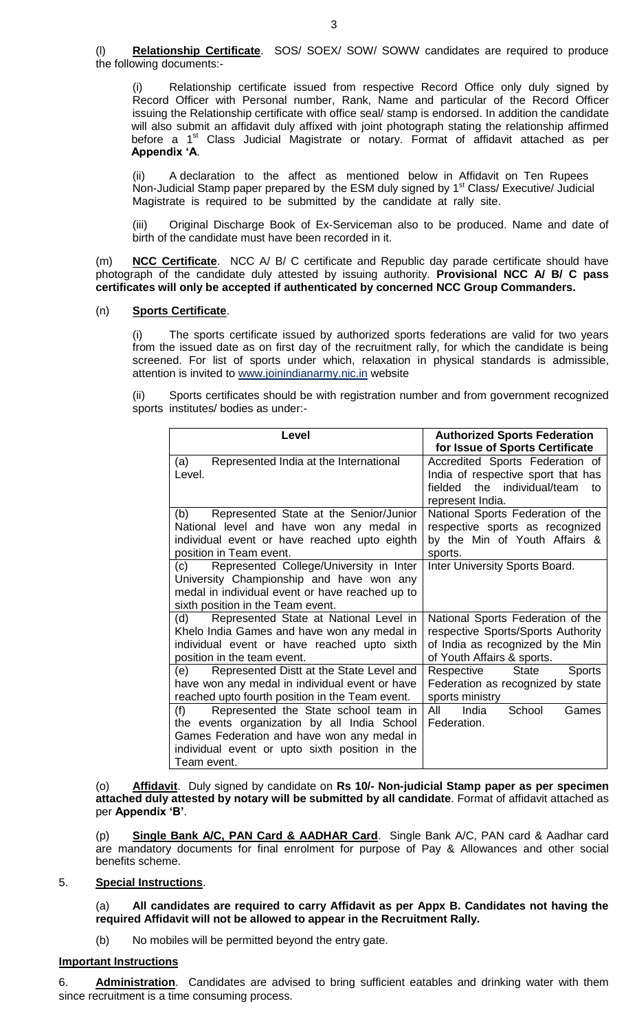(l) **Relationship Certificate**. SOS/ SOEX/ SOW/ SOWW candidates are required to produce the following documents:-

(i) Relationship certificate issued from respective Record Office only duly signed by Record Officer with Personal number, Rank, Name and particular of the Record Officer issuing the Relationship certificate with office seal/ stamp is endorsed. In addition the candidate will also submit an affidavit duly affixed with joint photograph stating the relationship affirmed before a 1<sup>st</sup> Class Judicial Magistrate or notary. Format of affidavit attached as per **Appendix "A**.

(ii) A declaration to the affect as mentioned below in Affidavit on Ten Rupees Non-Judicial Stamp paper prepared by the ESM duly signed by 1<sup>st</sup> Class/ Executive/ Judicial Magistrate is required to be submitted by the candidate at rally site.

(iii) Original Discharge Book of Ex-Serviceman also to be produced. Name and date of birth of the candidate must have been recorded in it.

(m) **NCC Certificate**. NCC A/ B/ C certificate and Republic day parade certificate should have photograph of the candidate duly attested by issuing authority. **Provisional NCC A/ B/ C pass certificates will only be accepted if authenticated by concerned NCC Group Commanders.**

# (n) **Sports Certificate**.

(i) The sports certificate issued by authorized sports federations are valid for two years from the issued date as on first day of the recruitment rally, for which the candidate is being screened. For list of sports under which, relaxation in physical standards is admissible, attention is invited to [www.joinindianarmy.nic.in](http://www.joinindianarmy.nic.in/) website

(ii) Sports certificates should be with registration number and from government recognized sports institutes/ bodies as under:-

| Level                                           | <b>Authorized Sports Federation</b>         |
|-------------------------------------------------|---------------------------------------------|
|                                                 | for Issue of Sports Certificate             |
| Represented India at the International<br>(a)   | Accredited Sports Federation of             |
| Level.                                          | India of respective sport that has          |
|                                                 | fielded the individual/team<br>to           |
|                                                 | represent India.                            |
| (b)<br>Represented State at the Senior/Junior   | National Sports Federation of the           |
| National level and have won any medal in        | respective sports as recognized             |
| individual event or have reached upto eighth    | by the Min of Youth Affairs &               |
| position in Team event.                         | sports.                                     |
| Represented College/University in Inter<br>(c)  | Inter University Sports Board.              |
| University Championship and have won any        |                                             |
| medal in individual event or have reached up to |                                             |
| sixth position in the Team event.               |                                             |
| Represented State at National Level in<br>(d)   | National Sports Federation of the           |
| Khelo India Games and have won any medal in     | respective Sports/Sports Authority          |
| individual event or have reached upto sixth     | of India as recognized by the Min           |
| position in the team event.                     | of Youth Affairs & sports.                  |
| Represented Distt at the State Level and<br>(e) | Respective<br><b>State</b><br><b>Sports</b> |
| have won any medal in individual event or have  | Federation as recognized by state           |
| reached upto fourth position in the Team event. | sports ministry                             |
| (f)<br>Represented the State school team in     | All<br>India<br>School<br>Games             |
| the events organization by all India School     | Federation.                                 |
| Games Federation and have won any medal in      |                                             |
| individual event or upto sixth position in the  |                                             |
| Team event.                                     |                                             |

(o) **Affidavit**. Duly signed by candidate on **Rs 10/- Non-judicial Stamp paper as per specimen attached duly attested by notary will be submitted by all candidate**. Format of affidavit attached as per **Appendix "B"**.

(p) **Single Bank A/C, PAN Card & AADHAR Card**. Single Bank A/C, PAN card & Aadhar card are mandatory documents for final enrolment for purpose of Pay & Allowances and other social benefits scheme.

### 5. **Special Instructions**.

(a) **All candidates are required to carry Affidavit as per Appx B. Candidates not having the required Affidavit will not be allowed to appear in the Recruitment Rally.**

(b) No mobiles will be permitted beyond the entry gate.

### **Important Instructions**

6. **Administration**. Candidates are advised to bring sufficient eatables and drinking water with them since recruitment is a time consuming process.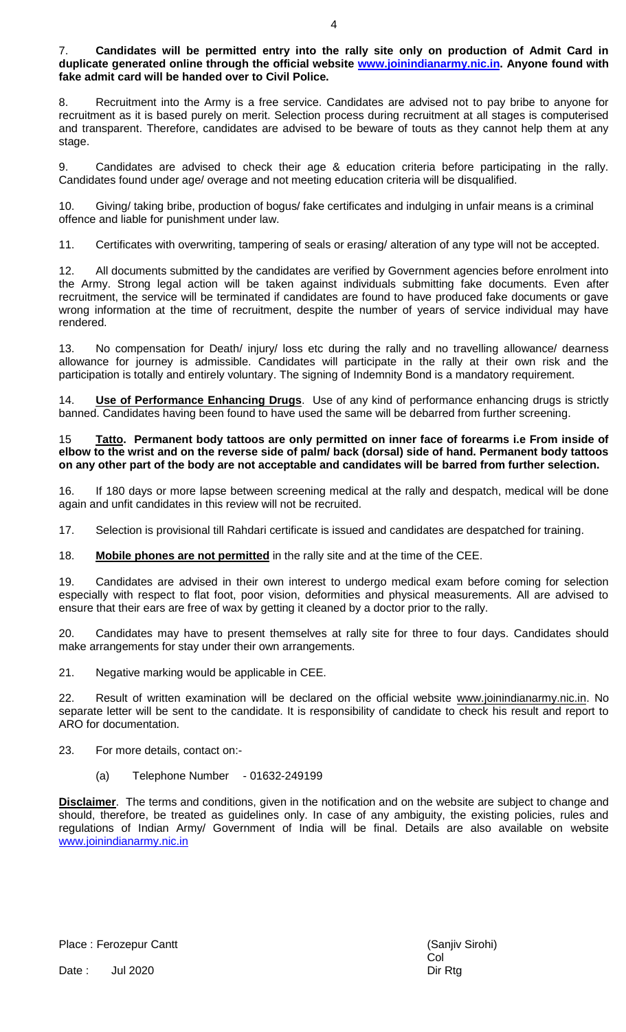### 7. **Candidates will be permitted entry into the rally site only on production of Admit Card in duplicate generated online through the official website [www.joinindianarmy.nic.in.](http://www.joinindianarmy.nic.in/) Anyone found with fake admit card will be handed over to Civil Police.**

8. Recruitment into the Army is a free service. Candidates are advised not to pay bribe to anyone for recruitment as it is based purely on merit. Selection process during recruitment at all stages is computerised and transparent. Therefore, candidates are advised to be beware of touts as they cannot help them at any stage.

9. Candidates are advised to check their age & education criteria before participating in the rally. Candidates found under age/ overage and not meeting education criteria will be disqualified.

10. Giving/ taking bribe, production of bogus/ fake certificates and indulging in unfair means is a criminal offence and liable for punishment under law.

11. Certificates with overwriting, tampering of seals or erasing/ alteration of any type will not be accepted.

12. All documents submitted by the candidates are verified by Government agencies before enrolment into the Army. Strong legal action will be taken against individuals submitting fake documents. Even after recruitment, the service will be terminated if candidates are found to have produced fake documents or gave wrong information at the time of recruitment, despite the number of years of service individual may have rendered.

13. No compensation for Death/ injury/ loss etc during the rally and no travelling allowance/ dearness allowance for journey is admissible. Candidates will participate in the rally at their own risk and the participation is totally and entirely voluntary. The signing of Indemnity Bond is a mandatory requirement.

14. **Use of Performance Enhancing Drugs**. Use of any kind of performance enhancing drugs is strictly banned. Candidates having been found to have used the same will be debarred from further screening.

### 15 **Tatto. Permanent body tattoos are only permitted on inner face of forearms i.e From inside of elbow to the wrist and on the reverse side of palm/ back (dorsal) side of hand. Permanent body tattoos on any other part of the body are not acceptable and candidates will be barred from further selection.**

16. If 180 days or more lapse between screening medical at the rally and despatch, medical will be done again and unfit candidates in this review will not be recruited.

17. Selection is provisional till Rahdari certificate is issued and candidates are despatched for training.

## 18. **Mobile phones are not permitted** in the rally site and at the time of the CEE.

19. Candidates are advised in their own interest to undergo medical exam before coming for selection especially with respect to flat foot, poor vision, deformities and physical measurements. All are advised to ensure that their ears are free of wax by getting it cleaned by a doctor prior to the rally.

20. Candidates may have to present themselves at rally site for three to four days. Candidates should make arrangements for stay under their own arrangements.

21. Negative marking would be applicable in CEE.

22. Result of written examination will be declared on the official website www.joinindianarmy.nic.in. No separate letter will be sent to the candidate. It is responsibility of candidate to check his result and report to ARO for documentation.

### 23. For more details, contact on:-

(a) Telephone Number - 01632-249199

**Disclaimer**. The terms and conditions, given in the notification and on the website are subject to change and should, therefore, be treated as guidelines only. In case of any ambiguity, the existing policies, rules and regulations of Indian Army/ Government of India will be final. Details are also available on website [www.joinindianarmy.nic.in](http://www.joinindianarmy.nic.in/)

Place : Ferozepur Cantt (Sanjiv Sirohi) and Sanjiv Sirohi) and Sanjiv Sirohi)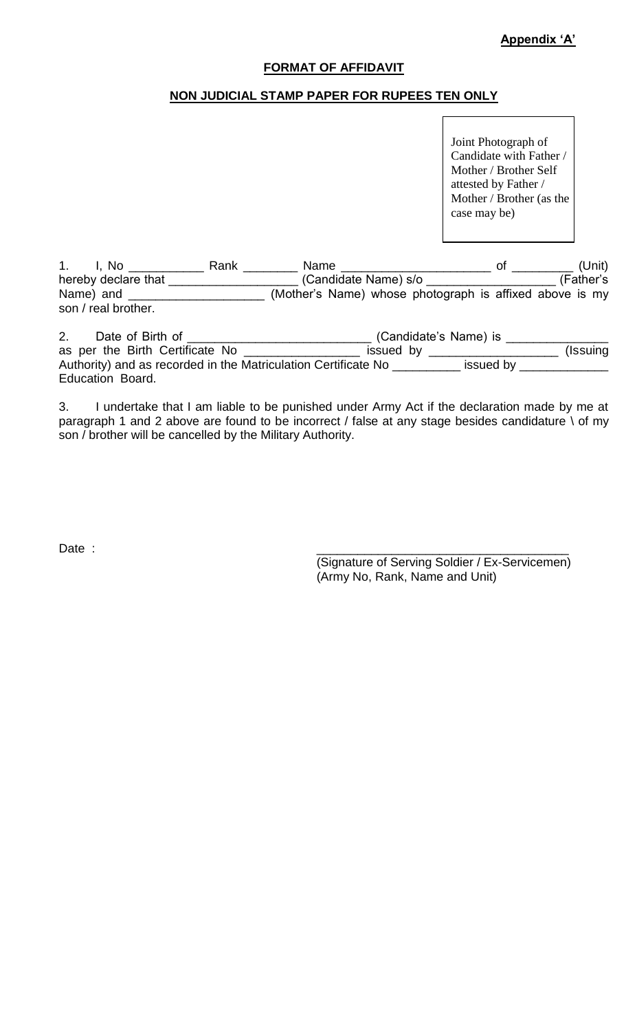## **FORMAT OF AFFIDAVIT**

# **NON JUDICIAL STAMP PAPER FOR RUPEES TEN ONLY**

Joint Photograph of Candidate with Father / Mother / Brother Self attested by Father / Mother / Brother (as the case may be)

1. I, No \_\_\_\_\_\_\_\_\_\_\_ Rank \_\_\_\_\_\_\_\_ Name \_\_\_\_\_\_\_\_\_\_\_\_\_\_\_\_\_\_\_\_\_\_ of \_\_\_\_\_\_\_\_\_ (Unit) hereby declare that \_\_\_\_\_\_\_\_\_\_\_\_\_\_\_\_\_\_\_ (Candidate Name) s/o \_\_\_\_\_\_\_\_\_\_\_\_\_\_\_\_\_\_\_ (Father's Name) and \_\_\_\_\_\_\_\_\_\_\_\_\_\_\_\_\_\_\_\_\_\_\_ (Mother's Name) whose photograph is affixed above is my son / real brother.

2. Date of Birth of \_\_\_\_\_\_\_\_\_\_\_\_\_\_\_\_\_\_\_\_\_\_\_\_\_\_\_\_\_\_\_\_\_\_(Candidate's Name) is \_\_\_\_\_\_\_\_\_\_\_\_\_\_\_ as per the Birth Certificate No \_\_\_\_\_\_\_\_\_\_\_\_\_\_\_\_\_\_\_\_ issued by \_\_\_\_\_\_\_\_\_\_\_\_\_\_\_\_\_\_\_\_\_\_\_\_ (Issuing Authority) and as recorded in the Matriculation Certificate No \_\_\_\_\_\_\_\_\_\_ issued by \_\_\_\_\_\_\_\_\_\_\_\_\_ Education Board.

3. I undertake that I am liable to be punished under Army Act if the declaration made by me at paragraph 1 and 2 above are found to be incorrect / false at any stage besides candidature \ of my son / brother will be cancelled by the Military Authority.

Date : \_\_\_\_\_\_\_\_\_\_\_\_\_\_\_\_\_\_\_\_\_\_\_\_\_\_\_\_\_\_\_\_\_\_\_\_\_

(Signature of Serving Soldier / Ex-Servicemen) (Army No, Rank, Name and Unit)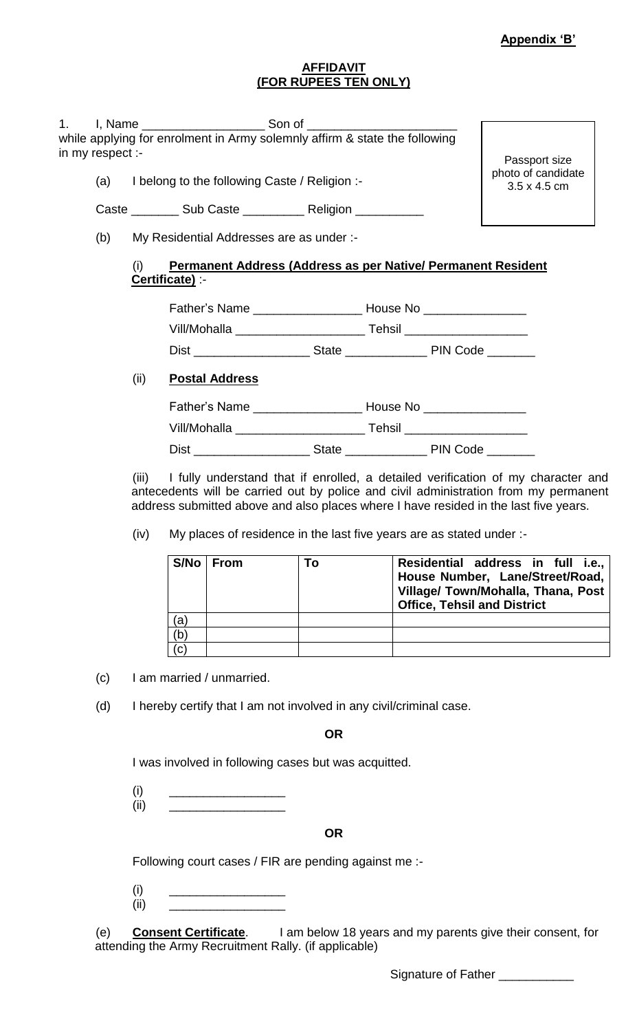photo of candidate 3.5 x 4.5 cm

## **AFFIDAVIT (FOR RUPEES TEN ONLY)**

1. I, Name \_\_\_\_\_\_\_\_\_\_\_\_\_\_\_\_\_\_\_\_\_\_\_\_\_\_\_\_ Son of \_ while applying for enrolment in Army solemnly affirm & state the following in my respect :- Passport size

(a) I belong to the following Caste / Religion :-

Caste \_\_\_\_\_\_\_\_\_ Sub Caste \_\_\_\_\_\_\_\_\_\_\_ Religion \_\_\_\_\_\_\_\_\_

(b) My Residential Addresses are as under :-

# **Permanent Address (Address as per Native/ Permanent Resident Certificate)** :-

| Father's Name |              | House No        |  |  |
|---------------|--------------|-----------------|--|--|
| Vill/Mohalla  |              | Tehsil          |  |  |
| <b>Dist</b>   | <b>State</b> | <b>PIN Code</b> |  |  |

# (ii) **Postal Address**

| Father's Name | House No |
|---------------|----------|
| Vill/Mohalla  | Tehsil   |

Dist \_\_\_\_\_\_\_\_\_\_\_\_\_\_\_\_\_ State \_\_\_\_\_\_\_\_\_\_\_\_ PIN Code \_\_\_\_\_\_\_

(iii) I fully understand that if enrolled, a detailed verification of my character and antecedents will be carried out by police and civil administration from my permanent address submitted above and also places where I have resided in the last five years.

(iv) My places of residence in the last five years are as stated under :-

|                | S/No   From | To | Residential address in full i.e.,<br>House Number, Lane/Street/Road,<br>Village/ Town/Mohalla, Thana, Post<br><b>Office, Tehsil and District</b> |
|----------------|-------------|----|--------------------------------------------------------------------------------------------------------------------------------------------------|
| (a             |             |    |                                                                                                                                                  |
| (b             |             |    |                                                                                                                                                  |
| $^{\prime}$ C. |             |    |                                                                                                                                                  |

(c) I am married / unmarried.

(d) I hereby certify that I am not involved in any civil/criminal case.

**OR**

I was involved in following cases but was acquitted.

 $(i)$   $\qquad \qquad$ (ii) \_\_\_\_\_\_\_\_\_\_\_\_\_\_\_\_\_

## **OR**

Following court cases / FIR are pending against me :-

- $(i)$   $\qquad \qquad$
- (ii) \_\_\_\_\_\_\_\_\_\_\_\_\_\_\_\_\_

(e) **Consent Certificate**. I am below 18 years and my parents give their consent, for attending the Army Recruitment Rally. (if applicable)